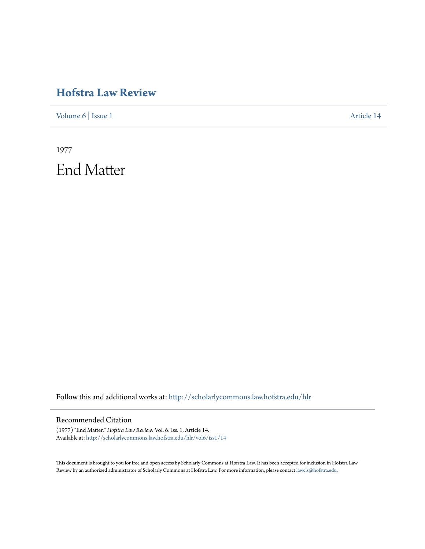## **[Hofstra Law Review](http://scholarlycommons.law.hofstra.edu/hlr?utm_source=scholarlycommons.law.hofstra.edu%2Fhlr%2Fvol6%2Fiss1%2F14&utm_medium=PDF&utm_campaign=PDFCoverPages)**

[Volume 6](http://scholarlycommons.law.hofstra.edu/hlr/vol6?utm_source=scholarlycommons.law.hofstra.edu%2Fhlr%2Fvol6%2Fiss1%2F14&utm_medium=PDF&utm_campaign=PDFCoverPages) | [Issue 1](http://scholarlycommons.law.hofstra.edu/hlr/vol6/iss1?utm_source=scholarlycommons.law.hofstra.edu%2Fhlr%2Fvol6%2Fiss1%2F14&utm_medium=PDF&utm_campaign=PDFCoverPages) [Article 14](http://scholarlycommons.law.hofstra.edu/hlr/vol6/iss1/14?utm_source=scholarlycommons.law.hofstra.edu%2Fhlr%2Fvol6%2Fiss1%2F14&utm_medium=PDF&utm_campaign=PDFCoverPages)

1977 End Matter

Follow this and additional works at: [http://scholarlycommons.law.hofstra.edu/hlr](http://scholarlycommons.law.hofstra.edu/hlr?utm_source=scholarlycommons.law.hofstra.edu%2Fhlr%2Fvol6%2Fiss1%2F14&utm_medium=PDF&utm_campaign=PDFCoverPages)

## Recommended Citation

(1977) "End Matter," *Hofstra Law Review*: Vol. 6: Iss. 1, Article 14. Available at: [http://scholarlycommons.law.hofstra.edu/hlr/vol6/iss1/14](http://scholarlycommons.law.hofstra.edu/hlr/vol6/iss1/14?utm_source=scholarlycommons.law.hofstra.edu%2Fhlr%2Fvol6%2Fiss1%2F14&utm_medium=PDF&utm_campaign=PDFCoverPages)

This document is brought to you for free and open access by Scholarly Commons at Hofstra Law. It has been accepted for inclusion in Hofstra Law Review by an authorized administrator of Scholarly Commons at Hofstra Law. For more information, please contact [lawcls@hofstra.edu](mailto:lawcls@hofstra.edu).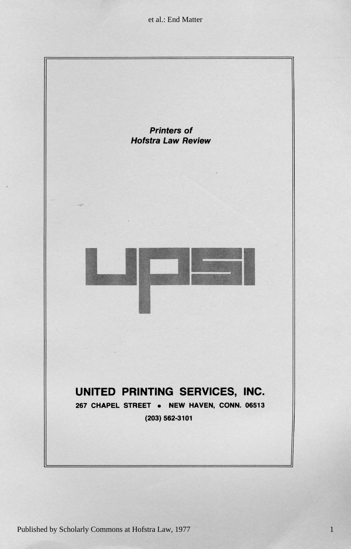et al.: End Matter



1